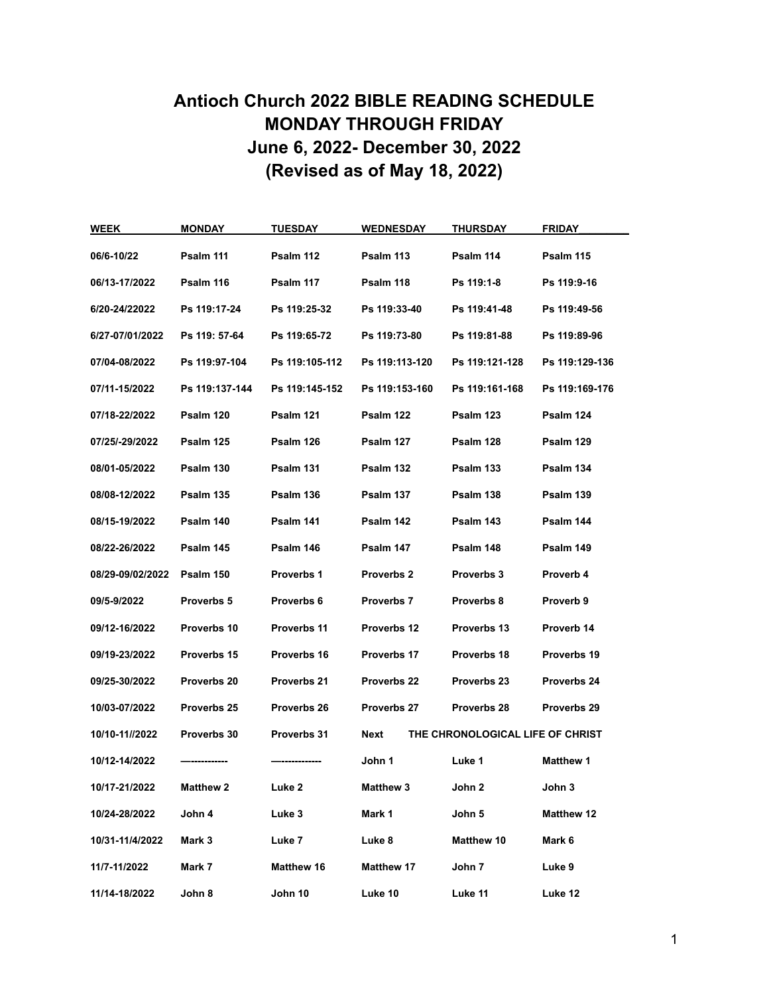## **Antioch Church 2022 BIBLE READING SCHEDULE MONDAY THROUGH FRIDAY June 6, 2022- December 30, 2022 (Revised as of May 18, 2022)**

| <b>WEEK</b>      | MONDAY           | TUESDAY           | <b>WEDNESDAY</b>  | <b>THURSDAY</b>                  | FRIDAY            |
|------------------|------------------|-------------------|-------------------|----------------------------------|-------------------|
| 06/6-10/22       | Psalm 111        | Psalm 112         | Psalm 113         | Psalm 114                        | Psalm 115         |
| 06/13-17/2022    | Psalm 116        | Psalm 117         | Psalm 118         | Ps 119:1-8                       | Ps 119:9-16       |
| 6/20-24/22022    | Ps 119:17-24     | Ps 119:25-32      | Ps 119:33-40      | Ps 119:41-48                     | Ps 119:49-56      |
| 6/27-07/01/2022  | Ps 119: 57-64    | Ps 119:65-72      | Ps 119:73-80      | Ps 119:81-88                     | Ps 119:89-96      |
| 07/04-08/2022    | Ps 119:97-104    | Ps 119:105-112    | Ps 119:113-120    | Ps 119:121-128                   | Ps 119:129-136    |
| 07/11-15/2022    | Ps 119:137-144   | Ps 119:145-152    | Ps 119:153-160    | Ps 119:161-168                   | Ps 119:169-176    |
| 07/18-22/2022    | Psalm 120        | Psalm 121         | Psalm 122         | Psalm 123                        | Psalm 124         |
| 07/25/-29/2022   | Psalm 125        | Psalm 126         | Psalm 127         | Psalm 128                        | Psalm 129         |
| 08/01-05/2022    | Psalm 130        | Psalm 131         | Psalm 132         | Psalm 133                        | Psalm 134         |
| 08/08-12/2022    | Psalm 135        | Psalm 136         | Psalm 137         | Psalm 138                        | Psalm 139         |
| 08/15-19/2022    | Psalm 140        | Psalm 141         | Psalm 142         | Psalm 143                        | Psalm 144         |
| 08/22-26/2022    | Psalm 145        | Psalm 146         | Psalm 147         | Psalm 148                        | Psalm 149         |
| 08/29-09/02/2022 | Psalm 150        | <b>Proverbs 1</b> | <b>Proverbs 2</b> | <b>Proverbs 3</b>                | Proverb 4         |
| 09/5-9/2022      | Proverbs 5       | Proverbs 6        | <b>Proverbs 7</b> | Proverbs 8                       | Proverb 9         |
| 09/12-16/2022    | Proverbs 10      | Proverbs 11       | Proverbs 12       | Proverbs 13                      | Proverb 14        |
| 09/19-23/2022    | Proverbs 15      | Proverbs 16       | Proverbs 17       | Proverbs 18                      | Proverbs 19       |
| 09/25-30/2022    | Proverbs 20      | Proverbs 21       | Proverbs 22       | Proverbs 23                      | Proverbs 24       |
| 10/03-07/2022    | Proverbs 25      | Proverbs 26       | Proverbs 27       | Proverbs 28                      | Proverbs 29       |
| 10/10-11//2022   | Proverbs 30      | Proverbs 31       | Next              | THE CHRONOLOGICAL LIFE OF CHRIST |                   |
| 10/12-14/2022    |                  |                   | John 1            | Luke 1                           | <b>Matthew 1</b>  |
| 10/17-21/2022    | <b>Matthew 2</b> | Luke 2            | <b>Matthew 3</b>  | John 2                           | John 3            |
| 10/24-28/2022    | John 4           | Luke 3            | Mark 1            | John 5                           | <b>Matthew 12</b> |
| 10/31-11/4/2022  | Mark 3           | Luke 7            | Luke 8            | Matthew 10                       | Mark 6            |
| 11/7-11/2022     | Mark 7           | Matthew 16        | Matthew 17        | John 7                           | Luke 9            |
| 11/14-18/2022    | John 8           | John 10           | Luke 10           | Luke 11                          | Luke 12           |